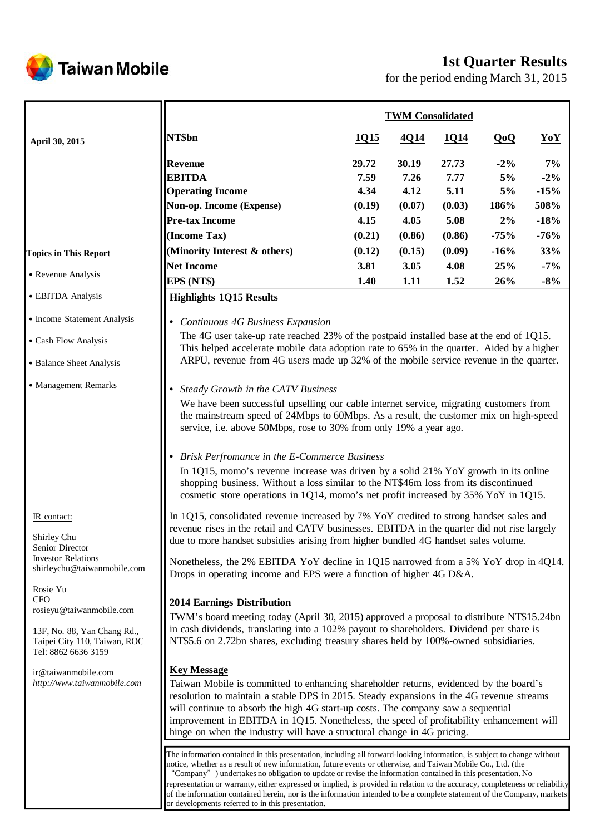

# **1st Quarter Results**

for the period ending March 31, 2015

|                                                                                                                                                                                                                                                                              | <b>TWM Consolidated</b>                                                                                                                                                                                                                                                                                                                                                                                                                                                                                                                                                                                                                                                                                                                                        |                                         |                                         |                                         |                                  |                                          |
|------------------------------------------------------------------------------------------------------------------------------------------------------------------------------------------------------------------------------------------------------------------------------|----------------------------------------------------------------------------------------------------------------------------------------------------------------------------------------------------------------------------------------------------------------------------------------------------------------------------------------------------------------------------------------------------------------------------------------------------------------------------------------------------------------------------------------------------------------------------------------------------------------------------------------------------------------------------------------------------------------------------------------------------------------|-----------------------------------------|-----------------------------------------|-----------------------------------------|----------------------------------|------------------------------------------|
| April 30, 2015                                                                                                                                                                                                                                                               | NT\$bn                                                                                                                                                                                                                                                                                                                                                                                                                                                                                                                                                                                                                                                                                                                                                         | <u>1015</u>                             | 4Q14                                    | <u>1014</u>                             | QoQ                              | YoY                                      |
|                                                                                                                                                                                                                                                                              | <b>Revenue</b><br><b>EBITDA</b><br><b>Operating Income</b><br>Non-op. Income (Expense)<br><b>Pre-tax Income</b>                                                                                                                                                                                                                                                                                                                                                                                                                                                                                                                                                                                                                                                | 29.72<br>7.59<br>4.34<br>(0.19)<br>4.15 | 30.19<br>7.26<br>4.12<br>(0.07)<br>4.05 | 27.73<br>7.77<br>5.11<br>(0.03)<br>5.08 | $-2\%$<br>5%<br>5%<br>186%<br>2% | 7%<br>$-2\%$<br>$-15%$<br>508%<br>$-18%$ |
| <b>Topics in This Report</b>                                                                                                                                                                                                                                                 | (Income Tax)<br>(Minority Interest & others)                                                                                                                                                                                                                                                                                                                                                                                                                                                                                                                                                                                                                                                                                                                   | (0.21)<br>(0.12)                        | (0.86)<br>(0.15)                        | (0.86)<br>(0.09)                        | $-75%$<br>$-16%$                 | $-76%$<br>33%                            |
|                                                                                                                                                                                                                                                                              | <b>Net Income</b>                                                                                                                                                                                                                                                                                                                                                                                                                                                                                                                                                                                                                                                                                                                                              | 3.81                                    | 3.05                                    | 4.08                                    | 25%                              | $-7%$                                    |
| • Revenue Analysis                                                                                                                                                                                                                                                           | EPS (NT\$)                                                                                                                                                                                                                                                                                                                                                                                                                                                                                                                                                                                                                                                                                                                                                     | 1.40                                    | 1.11                                    | 1.52                                    | 26%                              | $-8%$                                    |
| • EBITDA Analysis                                                                                                                                                                                                                                                            | <b>Highlights 1Q15 Results</b>                                                                                                                                                                                                                                                                                                                                                                                                                                                                                                                                                                                                                                                                                                                                 |                                         |                                         |                                         |                                  |                                          |
| • Income Statement Analysis<br>• Cash Flow Analysis<br>• Balance Sheet Analysis                                                                                                                                                                                              | Continuous 4G Business Expansion<br>The 4G user take-up rate reached 23% of the postpaid installed base at the end of 1Q15.<br>This helped accelerate mobile data adoption rate to 65% in the quarter. Aided by a higher<br>ARPU, revenue from 4G users made up 32% of the mobile service revenue in the quarter.                                                                                                                                                                                                                                                                                                                                                                                                                                              |                                         |                                         |                                         |                                  |                                          |
| • Management Remarks                                                                                                                                                                                                                                                         | Steady Growth in the CATV Business<br>$\bullet$<br>We have been successful upselling our cable internet service, migrating customers from<br>the mainstream speed of 24Mbps to 60Mbps. As a result, the customer mix on high-speed<br>service, i.e. above 50Mbps, rose to 30% from only 19% a year ago.<br>• Brisk Perfromance in the E-Commerce Business<br>In 1Q15, momo's revenue increase was driven by a solid 21% YoY growth in its online<br>shopping business. Without a loss similar to the NT\$46m loss from its discontinued<br>cosmetic store operations in 1Q14, momo's net profit increased by $35\%$ YoY in 1Q15.                                                                                                                               |                                         |                                         |                                         |                                  |                                          |
| IR contact:<br>Shirley Chu<br>Senior Director<br><b>Investor Relations</b><br>shirleychu@taiwanmobile.com<br>Rosie Yu<br><b>CFO</b><br>rosieyu@taiwanmobile.com<br>13F, No. 88, Yan Chang Rd.,<br>Taipei City 110, Taiwan, ROC<br>Tel: 8862 6636 3159<br>ir@taiwanmobile.com | In 1Q15, consolidated revenue increased by 7% YoY credited to strong handset sales and<br>revenue rises in the retail and CATV businesses. EBITDA in the quarter did not rise largely<br>due to more handset subsidies arising from higher bundled 4G handset sales volume.<br>Nonetheless, the 2% EBITDA YoY decline in 1Q15 narrowed from a 5% YoY drop in 4Q14.<br>Drops in operating income and EPS were a function of higher 4G D&A.<br><b>2014 Earnings Distribution</b><br>TWM's board meeting today (April 30, 2015) approved a proposal to distribute NT\$15.24bn<br>in cash dividends, translating into a 102% payout to shareholders. Dividend per share is<br>NT\$5.6 on 2.72bn shares, excluding treasury shares held by 100%-owned subsidiaries. |                                         |                                         |                                         |                                  |                                          |
| http://www.taiwanmobile.com                                                                                                                                                                                                                                                  | <b>Key Message</b><br>Taiwan Mobile is committed to enhancing shareholder returns, evidenced by the board's<br>resolution to maintain a stable DPS in 2015. Steady expansions in the 4G revenue streams<br>will continue to absorb the high 4G start-up costs. The company saw a sequential<br>improvement in EBITDA in 1Q15. Nonetheless, the speed of profitability enhancement will<br>hinge on when the industry will have a structural change in 4G pricing.                                                                                                                                                                                                                                                                                              |                                         |                                         |                                         |                                  |                                          |
|                                                                                                                                                                                                                                                                              | The information contained in this presentation, including all forward-looking information, is subject to change without<br>notice, whether as a result of new information, future events or otherwise, and Taiwan Mobile Co., Ltd. (the<br>"Company" ) undertakes no obligation to update or revise the information contained in this presentation. No<br>representation or warranty, either expressed or implied, is provided in relation to the accuracy, completeness or reliability<br>of the information contained herein, nor is the information intended to be a complete statement of the Company, markets<br>or developments referred to in this presentation.                                                                                        |                                         |                                         |                                         |                                  |                                          |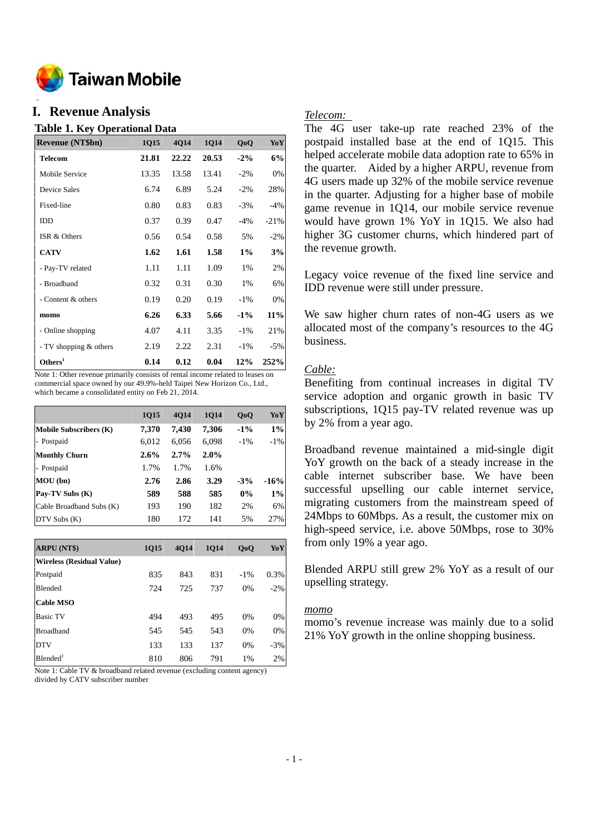

#### **o I. Revenue Analysis**

#### **Table 1. Key Operational Data**

| <b>Revenue (NT\$bn)</b> | 1Q15  | 4Q14  | 1Q14  | Q <sub>o</sub> Q | YoY     |
|-------------------------|-------|-------|-------|------------------|---------|
| Telecom                 | 21.81 | 22.22 | 20.53 | $-2\%$           | 6%      |
| Mobile Service          | 13.35 | 13.58 | 13.41 | $-2\%$           | 0%      |
| Device Sales            | 6.74  | 6.89  | 5.24  | $-2\%$           | 28%     |
| Fixed-line              | 0.80  | 0.83  | 0.83  | $-3\%$           | $-4\%$  |
| IDD                     | 0.37  | 0.39  | 0.47  | $-4%$            | $-21\%$ |
| ISR & Others            | 0.56  | 0.54  | 0.58  | 5%               | $-2\%$  |
| <b>CATV</b>             | 1.62  | 1.61  | 1.58  | $1\%$            | 3%      |
| - Pay-TV related        | 1.11  | 1.11  | 1.09  | 1%               | 2%      |
| - Broadband             | 0.32  | 0.31  | 0.30  | 1%               | 6%      |
| - Content & others      | 0.19  | 0.20  | 0.19  | $-1\%$           | 0%      |
| momo                    | 6.26  | 6.33  | 5.66  | $-1\%$           | 11%     |
| - Online shopping       | 4.07  | 4.11  | 3.35  | $-1\%$           | 21%     |
| - TV shopping & others  | 2.19  | 2.22  | 2.31  | $-1\%$           | $-5\%$  |
| Others <sup>1</sup>     | 0.14  | 0.12  | 0.04  | 12%              | 252%    |

Note 1: Other revenue primarily consists of rental income related to leases on commercial space owned by our 49.9%-held Taipei New Horizon Co., Ltd., which became a consolidated entity on Feb 21, 2014.

|                               | 1Q15    | <b>4014</b> | <b>1014</b> | QoQ    | YoY    |
|-------------------------------|---------|-------------|-------------|--------|--------|
| <b>Mobile Subscribers (K)</b> | 7,370   | 7,430       | 7,306       | $-1\%$ | 1%     |
| - Postpaid                    | 6,012   | 6,056       | 6,098       | $-1\%$ | $-1\%$ |
| <b>Monthly Churn</b>          | $2.6\%$ | 2.7%        | 2.0%        |        |        |
| - Postpaid                    | 1.7%    | 1.7%        | 1.6%        |        |        |
| MOU(bn)                       | 2.76    | 2.86        | 3.29        | $-3%$  | $-16%$ |
| Pay-TV Subs (K)               | 589     | 588         | 585         | $0\%$  | 1%     |
| Cable Broadband Subs (K)      | 193     | 190         | 182         | 2%     | 6%     |
| $DTV$ Subs $(K)$              | 180     | 172         | 141         | 5%     | 27%    |

| <b>ARPU (NT\$)</b>               | <b>1015</b> | <b>4014</b> | <b>1014</b> | Q <sub>o</sub> Q | YoY    |
|----------------------------------|-------------|-------------|-------------|------------------|--------|
| <b>Wireless (Residual Value)</b> |             |             |             |                  |        |
| Postpaid                         | 835         | 843         | 831         | $-1\%$           | 0.3%   |
| <b>Blended</b>                   | 724         | 725         | 737         | 0%               | $-2\%$ |
| <b>Cable MSO</b>                 |             |             |             |                  |        |
| <b>Basic TV</b>                  | 494         | 493         | 495         | 0%               | 0%     |
| <b>Broadband</b>                 | 545         | 545         | 543         | 0%               | 0%     |
| <b>DTV</b>                       | 133         | 133         | 137         | 0%               | $-3%$  |
| $B$ lended <sup>1</sup>          | 810         | 806         | 791         | 1%               | 2%     |

Note 1: Cable TV & broadband related revenue (excluding content agency) divided by CATV subscriber number

#### *Telecom:*

The 4G user take-up rate reached 23% of the postpaid installed base at the end of 1Q15. This helped accelerate mobile data adoption rate to 65% in the quarter. Aided by a higher ARPU, revenue from 4G users made up 32% of the mobile service revenue in the quarter. Adjusting for a higher base of mobile game revenue in 1Q14, our mobile service revenue would have grown 1% YoY in 1Q15. We also had higher 3G customer churns, which hindered part of the revenue growth.

Legacy voice revenue of the fixed line service and IDD revenue were still under pressure.

We saw higher churn rates of non-4G users as we allocated most of the company's resources to the 4G business.

## *Cable:*

Benefiting from continual increases in digital TV service adoption and organic growth in basic TV subscriptions, 1Q15 pay-TV related revenue was up by 2% from a year ago.

Broadband revenue maintained a mid-single digit YoY growth on the back of a steady increase in the cable internet subscriber base. We have been successful upselling our cable internet service, migrating customers from the mainstream speed of 24Mbps to 60Mbps. As a result, the customer mix on high-speed service, i.e. above 50Mbps, rose to 30% from only 19% a year ago.

Blended ARPU still grew 2% YoY as a result of our upselling strategy.

#### *momo*

momo's revenue increase was mainly due to a solid 21% YoY growth in the online shopping business.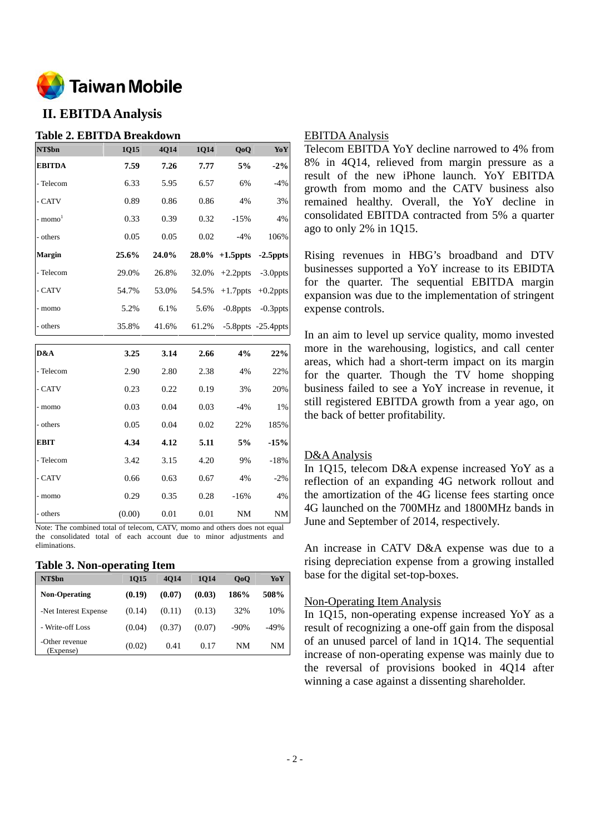

# **II. EBITDA Analysis**

## **Table 2. EBITDA Breakdown**

| NT\$bn                | 1Q15  | 4Q14  | 1Q14  | Q <sub>o</sub> Q           | YoY                                                                   |
|-----------------------|-------|-------|-------|----------------------------|-----------------------------------------------------------------------|
| <b>EBITDA</b>         | 7.59  | 7.26  | 7.77  | 5%                         | $-2\%$                                                                |
| - Telecom             | 6.33  | 5.95  | 6.57  | 6%                         | $-4%$                                                                 |
| - CATV                | 0.89  | 0.86  | 0.86  | 4%                         | 3%                                                                    |
| $-$ momo <sup>1</sup> | 0.33  | 0.39  | 0.32  | $-15%$                     | 4%                                                                    |
| - others              | 0.05  | 0.05  | 0.02  | $-4\%$                     | 106%                                                                  |
| <b>Margin</b>         | 25.6% | 24.0% |       | $28.0\%$ +1.5ppts -2.5ppts |                                                                       |
|                       |       |       |       |                            |                                                                       |
| - Telecom             | 29.0% | 26.8% | 32.0% | $+2.2$ ppts                |                                                                       |
| - CATV                | 54.7% | 53.0% | 54.5% | $+1.7$ ppts                |                                                                       |
| - momo                | 5.2%  | 6.1%  | 5.6%  | $-0.8$ ppts                |                                                                       |
| - others              | 35.8% | 41.6% | 61.2% |                            | $-3.0$ ppts<br>$+0.2$ ppts<br>$-0.3$ ppts<br>$-5.8$ ppts $-25.4$ ppts |

| D&A         | 3.25   | 3.14 | 2.66 | 4%        | 22%       |
|-------------|--------|------|------|-----------|-----------|
| - Telecom   | 2.90   | 2.80 | 2.38 | 4%        | 22%       |
| - CATV      | 0.23   | 0.22 | 0.19 | 3%        | 20%       |
| - momo      | 0.03   | 0.04 | 0.03 | $-4%$     | 1%        |
| - others    | 0.05   | 0.04 | 0.02 | 22%       | 185%      |
| <b>EBIT</b> | 4.34   | 4.12 | 5.11 | 5%        | $-15%$    |
| - Telecom   | 3.42   | 3.15 | 4.20 | 9%        | $-18%$    |
| - CATV      | 0.66   | 0.63 | 0.67 | 4%        | $-2\%$    |
| - momo      | 0.29   | 0.35 | 0.28 | $-16%$    | 4%        |
| - others    | (0.00) | 0.01 | 0.01 | <b>NM</b> | <b>NM</b> |

Note: The combined total of telecom, CATV, momo and others does not equal the consolidated total of each account due to minor adjustments and eliminations.

#### **Table 3. Non-operating Item**

| NT\$bn                      | 1015   | 4014   | 1014   | 0 <sub>0</sub> | YoY    |
|-----------------------------|--------|--------|--------|----------------|--------|
| <b>Non-Operating</b>        | (0.19) | (0.07) | (0.03) | 186%           | 508%   |
| -Net Interest Expense       | (0.14) | (0.11) | (0.13) | 32%            | 10%    |
| - Write-off Loss            | (0.04) | (0.37) | (0.07) | $-90%$         | $-49%$ |
| -Other revenue<br>(Expense) | (0.02) | 0.41   | 0.17   | NM             | NM     |

### EBITDA Analysis

Telecom EBITDA YoY decline narrowed to 4% from 8% in 4Q14, relieved from margin pressure as a result of the new iPhone launch. YoY EBITDA growth from momo and the CATV business also remained healthy. Overall, the YoY decline in consolidated EBITDA contracted from 5% a quarter ago to only 2% in 1Q15.

Rising revenues in HBG's broadband and DTV businesses supported a YoY increase to its EBIDTA for the quarter. The sequential EBITDA margin expansion was due to the implementation of stringent expense controls.

In an aim to level up service quality, momo invested more in the warehousing, logistics, and call center areas, which had a short-term impact on its margin for the quarter. Though the TV home shopping business failed to see a YoY increase in revenue, it still registered EBITDA growth from a year ago, on the back of better profitability.

### D&A Analysis

In 1Q15, telecom D&A expense increased YoY as a reflection of an expanding 4G network rollout and the amortization of the 4G license fees starting once 4G launched on the 700MHz and 1800MHz bands in June and September of 2014, respectively.

An increase in CATV D&A expense was due to a rising depreciation expense from a growing installed base for the digital set-top-boxes.

### Non-Operating Item Analysis

In 1Q15, non-operating expense increased YoY as a result of recognizing a one-off gain from the disposal of an unused parcel of land in 1Q14. The sequential increase of non-operating expense was mainly due to the reversal of provisions booked in 4Q14 after winning a case against a dissenting shareholder.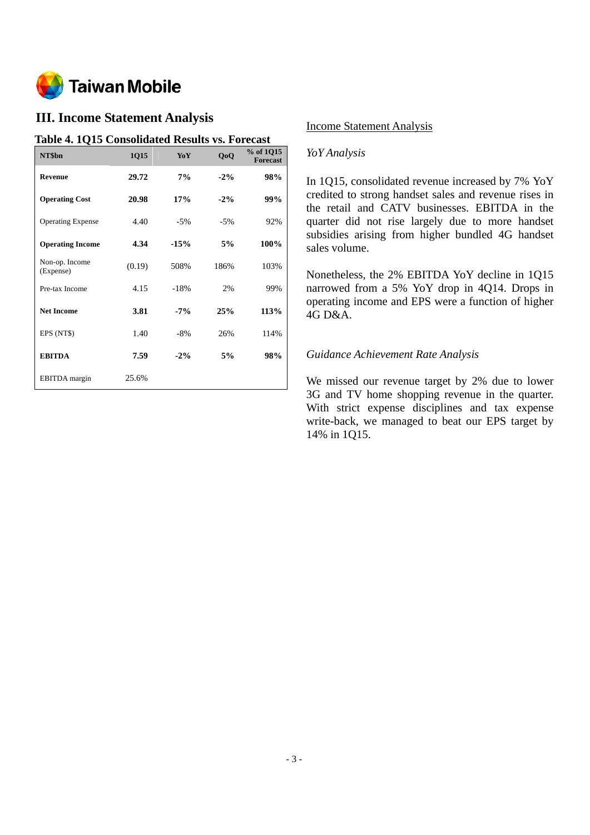

# **III. Income Statement Analysis**

### **Table 4. 1Q15 Consolidated Results vs. Forecast**

| NT\$bn                      | 1Q15   | YoY    | QoQ    | % of 1Q15<br><b>Forecast</b> |
|-----------------------------|--------|--------|--------|------------------------------|
| <b>Revenue</b>              | 29.72  | 7%     | $-2\%$ | 98%                          |
| <b>Operating Cost</b>       | 20.98  | 17%    | $-2\%$ | 99%                          |
| <b>Operating Expense</b>    | 4.40   | $-5%$  | $-5%$  | 92%                          |
| <b>Operating Income</b>     | 4.34   | $-15%$ | 5%     | 100%                         |
| Non-op. Income<br>(Expense) | (0.19) | 508%   | 186%   | 103%                         |
| Pre-tax Income              | 4.15   | $-18%$ | 2%     | 99%                          |
| <b>Net Income</b>           | 3.81   | $-7%$  | 25%    | 113%                         |
| EPS (NT\$)                  | 1.40   | $-8%$  | 26%    | 114%                         |
| <b>EBITDA</b>               | 7.59   | $-2\%$ | 5%     | 98%                          |
| <b>EBITDA</b> margin        | 25.6%  |        |        |                              |

### Income Statement Analysis

### *YoY Analysis*

In 1Q15, consolidated revenue increased by 7% YoY credited to strong handset sales and revenue rises in the retail and CATV businesses. EBITDA in the quarter did not rise largely due to more handset subsidies arising from higher bundled 4G handset sales volume.

Nonetheless, the 2% EBITDA YoY decline in 1Q15 narrowed from a 5% YoY drop in 4Q14. Drops in operating income and EPS were a function of higher 4G D&A.

### *Guidance Achievement Rate Analysis*

We missed our revenue target by 2% due to lower 3G and TV home shopping revenue in the quarter. With strict expense disciplines and tax expense write-back, we managed to beat our EPS target by 14% in 1Q15.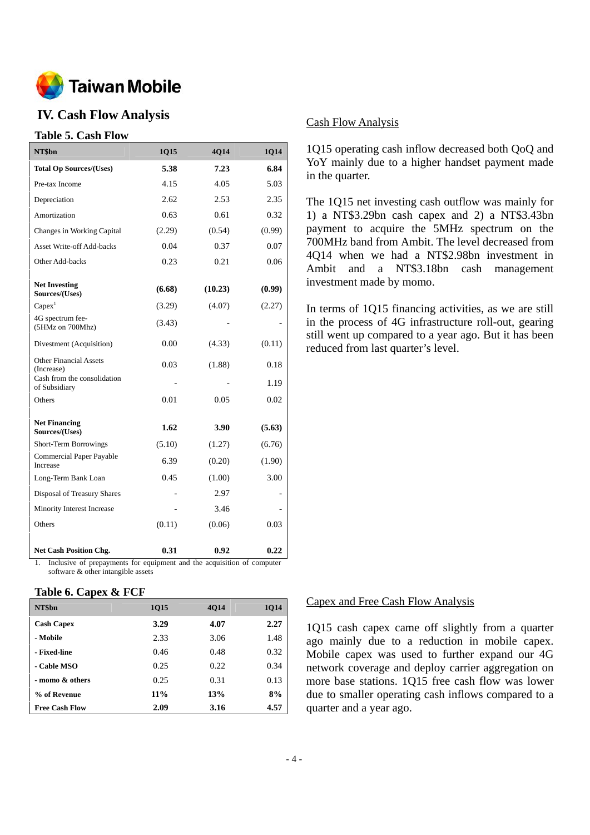

## **IV. Cash Flow Analysis**

## **Table 5. Cash Flow**

| NT\$bn                                                                                        | 1Q15   | 4Q14    | 1Q14   |
|-----------------------------------------------------------------------------------------------|--------|---------|--------|
| <b>Total Op Sources/(Uses)</b>                                                                | 5.38   | 7.23    | 6.84   |
| Pre-tax Income                                                                                | 4.15   | 4.05    | 5.03   |
| Depreciation                                                                                  | 2.62   | 2.53    | 2.35   |
| Amortization                                                                                  | 0.63   | 0.61    | 0.32   |
| Changes in Working Capital                                                                    | (2.29) | (0.54)  | (0.99) |
| <b>Asset Write-off Add-backs</b>                                                              | 0.04   | 0.37    | 0.07   |
| Other Add-backs                                                                               | 0.23   | 0.21    | 0.06   |
| <b>Net Investing</b><br>Sources/(Uses)                                                        | (6.68) | (10.23) | (0.99) |
| Capex <sup>1</sup>                                                                            | (3.29) | (4.07)  | (2.27) |
| 4G spectrum fee-<br>(5HMz on 700Mhz)                                                          | (3.43) |         |        |
| Divestment (Acquisition)                                                                      | 0.00   | (4.33)  | (0.11) |
| <b>Other Financial Assets</b><br>(Increase)                                                   | 0.03   | (1.88)  | 0.18   |
| Cash from the consolidation<br>of Subsidiary                                                  |        |         | 1.19   |
| Others                                                                                        | 0.01   | 0.05    | 0.02   |
| <b>Net Financing</b><br>Sources/(Uses)                                                        | 1.62   | 3.90    | (5.63) |
| <b>Short-Term Borrowings</b>                                                                  | (5.10) | (1.27)  | (6.76) |
| Commercial Paper Payable<br>Increase                                                          | 6.39   | (0.20)  | (1.90) |
| Long-Term Bank Loan                                                                           | 0.45   | (1.00)  | 3.00   |
| Disposal of Treasury Shares                                                                   |        | 2.97    |        |
| Minority Interest Increase                                                                    |        | 3.46    |        |
| Others                                                                                        | (0.11) | (0.06)  | 0.03   |
| Net Cash Position Chg.<br>Inclusive of properments for equipment and the equipment of compute | 0.31   | 0.92    | 0.22   |

1. Inclusive of prepayments for equipment and the acquisition of computer software & other intangible assets

#### **Table 6. Capex & FCF**

| NT\$bn                | <b>1015</b> | <b>4014</b> | 1014 |
|-----------------------|-------------|-------------|------|
| <b>Cash Capex</b>     | 3.29        | 4.07        | 2.27 |
| - Mobile              | 2.33        | 3.06        | 1.48 |
| - Fixed-line          | 0.46        | 0.48        | 0.32 |
| - Cable MSO           | 0.25        | 0.22        | 0.34 |
| - momo & others       | 0.25        | 0.31        | 0.13 |
| % of Revenue          | $11\%$      | 13%         | 8%   |
| <b>Free Cash Flow</b> | 2.09        | 3.16        | 4.57 |

### Cash Flow Analysis

1Q15 operating cash inflow decreased both QoQ and YoY mainly due to a higher handset payment made in the quarter.

The 1Q15 net investing cash outflow was mainly for 1) a NT\$3.29bn cash capex and 2) a NT\$3.43bn payment to acquire the 5MHz spectrum on the 700MHz band from Ambit. The level decreased from 4Q14 when we had a NT\$2.98bn investment in Ambit and a NT\$3.18bn cash management investment made by momo.

In terms of 1Q15 financing activities, as we are still in the process of 4G infrastructure roll-out, gearing still went up compared to a year ago. But it has been reduced from last quarter's level.

#### Capex and Free Cash Flow Analysis

1Q15 cash capex came off slightly from a quarter ago mainly due to a reduction in mobile capex. Mobile capex was used to further expand our 4G network coverage and deploy carrier aggregation on more base stations. 1Q15 free cash flow was lower due to smaller operating cash inflows compared to a quarter and a year ago.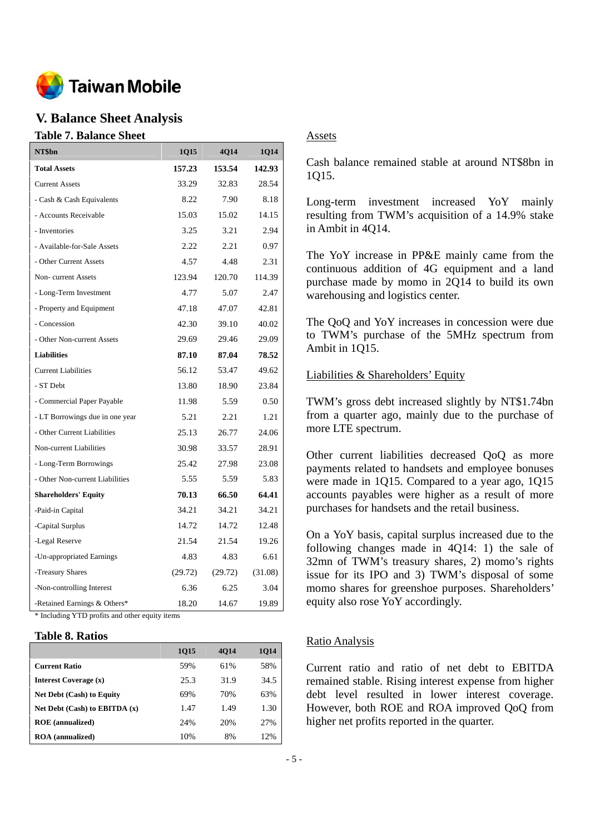

## **V. Balance Sheet Analysis**

#### **Table 7. Balance Sheet**

| NT\$bn                          | 1Q15    | 4Q14    | 1Q14    |
|---------------------------------|---------|---------|---------|
| <b>Total Assets</b>             | 157.23  | 153.54  | 142.93  |
| <b>Current Assets</b>           | 33.29   | 32.83   | 28.54   |
| - Cash & Cash Equivalents       | 8.22    | 7.90    | 8.18    |
| - Accounts Receivable           | 15.03   | 15.02   | 14.15   |
| - Inventories                   | 3.25    | 3.21    | 2.94    |
| - Available-for-Sale Assets     | 2.22    | 2.21    | 0.97    |
| - Other Current Assets          | 4.57    | 4.48    | 2.31    |
| Non-current Assets              | 123.94  | 120.70  | 114.39  |
| - Long-Term Investment          | 4.77    | 5.07    | 2.47    |
| - Property and Equipment        | 47.18   | 47.07   | 42.81   |
| - Concession                    | 42.30   | 39.10   | 40.02   |
| - Other Non-current Assets      | 29.69   | 29.46   | 29.09   |
| <b>Liabilities</b>              | 87.10   | 87.04   | 78.52   |
| <b>Current Liabilities</b>      | 56.12   | 53.47   | 49.62   |
| - ST Debt                       | 13.80   | 18.90   | 23.84   |
| - Commercial Paper Payable      | 11.98   | 5.59    | 0.50    |
| - LT Borrowings due in one year | 5.21    | 2.21    | 1.21    |
| - Other Current Liabilities     | 25.13   | 26.77   | 24.06   |
| Non-current Liabilities         | 30.98   | 33.57   | 28.91   |
| - Long-Term Borrowings          | 25.42   | 27.98   | 23.08   |
| - Other Non-current Liabilities | 5.55    | 5.59    | 5.83    |
| <b>Shareholders' Equity</b>     | 70.13   | 66.50   | 64.41   |
| -Paid-in Capital                | 34.21   | 34.21   | 34.21   |
| -Capital Surplus                | 14.72   | 14.72   | 12.48   |
| -Legal Reserve                  | 21.54   | 21.54   | 19.26   |
| -Un-appropriated Earnings       | 4.83    | 4.83    | 6.61    |
| -Treasury Shares                | (29.72) | (29.72) | (31.08) |
| -Non-controlling Interest       | 6.36    | 6.25    | 3.04    |
| -Retained Earnings & Others*    | 18.20   | 14.67   | 19.89   |

\* Including YTD profits and other equity items

#### **Table 8. Ratios**

|                                   | 1015 | <b>4014</b> | <b>1014</b> |
|-----------------------------------|------|-------------|-------------|
| <b>Current Ratio</b>              | 59%  | 61%         | 58%         |
| Interest Coverage (x)             | 25.3 | 31.9        | 34.5        |
| <b>Net Debt (Cash) to Equity</b>  | 69%  | 70%         | 63%         |
| Net Debt $(Cash)$ to EBITDA $(x)$ | 1.47 | 1.49        | 1.30        |
| <b>ROE</b> (annualized)           | 24%  | 20%         | 2.7%        |
| <b>ROA</b> (annualized)           | 10%  | 8%          | 12%         |

### Assets

Cash balance remained stable at around NT\$8bn in 1Q15.

Long-term investment increased YoY mainly resulting from TWM's acquisition of a 14.9% stake in Ambit in 4Q14.

The YoY increase in PP&E mainly came from the continuous addition of 4G equipment and a land purchase made by momo in 2Q14 to build its own warehousing and logistics center.

The QoQ and YoY increases in concession were due to TWM's purchase of the 5MHz spectrum from Ambit in 1Q15.

### Liabilities & Shareholders' Equity

TWM's gross debt increased slightly by NT\$1.74bn from a quarter ago, mainly due to the purchase of more LTE spectrum.

Other current liabilities decreased QoQ as more payments related to handsets and employee bonuses were made in 1Q15. Compared to a year ago, 1Q15 accounts payables were higher as a result of more purchases for handsets and the retail business.

On a YoY basis, capital surplus increased due to the following changes made in 4Q14: 1) the sale of 32mn of TWM's treasury shares, 2) momo's rights issue for its IPO and 3) TWM's disposal of some momo shares for greenshoe purposes. Shareholders' equity also rose YoY accordingly.

### Ratio Analysis

Current ratio and ratio of net debt to EBITDA remained stable. Rising interest expense from higher debt level resulted in lower interest coverage. However, both ROE and ROA improved QoQ from higher net profits reported in the quarter.